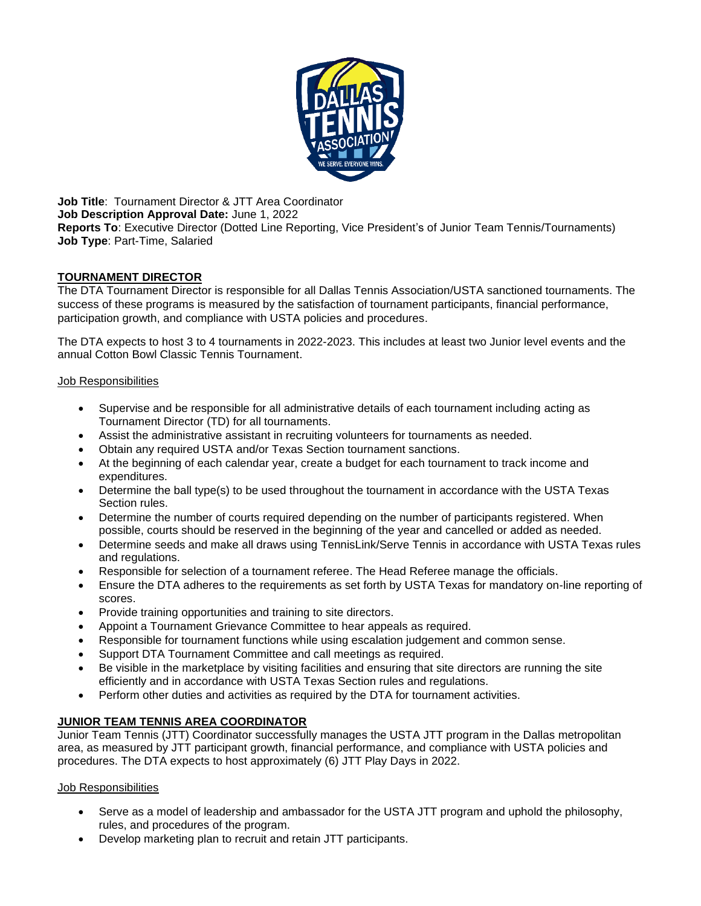

**Job Title**: Tournament Director & JTT Area Coordinator **Job Description Approval Date:** June 1, 2022 **Reports To**: Executive Director (Dotted Line Reporting, Vice President's of Junior Team Tennis/Tournaments) **Job Type**: Part-Time, Salaried

# **TOURNAMENT DIRECTOR**

The DTA Tournament Director is responsible for all Dallas Tennis Association/USTA sanctioned tournaments. The success of these programs is measured by the satisfaction of tournament participants, financial performance, participation growth, and compliance with USTA policies and procedures.

The DTA expects to host 3 to 4 tournaments in 2022-2023. This includes at least two Junior level events and the annual Cotton Bowl Classic Tennis Tournament.

## Job Responsibilities

- Supervise and be responsible for all administrative details of each tournament including acting as Tournament Director (TD) for all tournaments.
- Assist the administrative assistant in recruiting volunteers for tournaments as needed.
- Obtain any required USTA and/or Texas Section tournament sanctions.
- At the beginning of each calendar year, create a budget for each tournament to track income and expenditures.
- Determine the ball type(s) to be used throughout the tournament in accordance with the USTA Texas Section rules.
- Determine the number of courts required depending on the number of participants registered. When possible, courts should be reserved in the beginning of the year and cancelled or added as needed.
- Determine seeds and make all draws using TennisLink/Serve Tennis in accordance with USTA Texas rules and regulations.
- Responsible for selection of a tournament referee. The Head Referee manage the officials.
- Ensure the DTA adheres to the requirements as set forth by USTA Texas for mandatory on-line reporting of scores.
- Provide training opportunities and training to site directors.
- Appoint a Tournament Grievance Committee to hear appeals as required.
- Responsible for tournament functions while using escalation judgement and common sense.
- Support DTA Tournament Committee and call meetings as required.
- Be visible in the marketplace by visiting facilities and ensuring that site directors are running the site efficiently and in accordance with USTA Texas Section rules and regulations.
- Perform other duties and activities as required by the DTA for tournament activities.

## **JUNIOR TEAM TENNIS AREA COORDINATOR**

Junior Team Tennis (JTT) Coordinator successfully manages the USTA JTT program in the Dallas metropolitan area, as measured by JTT participant growth, financial performance, and compliance with USTA policies and procedures. The DTA expects to host approximately (6) JTT Play Days in 2022.

## Job Responsibilities

- Serve as a model of leadership and ambassador for the USTA JTT program and uphold the philosophy, rules, and procedures of the program.
- Develop marketing plan to recruit and retain JTT participants.